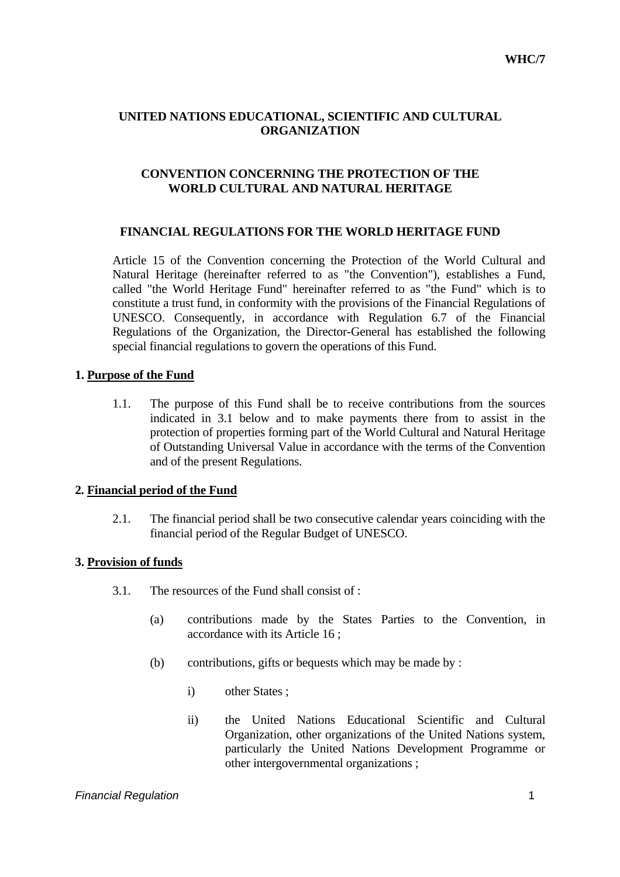## **UNITED NATIONS EDUCATIONAL, SCIENTIFIC AND CULTURAL ORGANIZATION**

## **CONVENTION CONCERNING THE PROTECTION OF THE WORLD CULTURAL AND NATURAL HERITAGE**

### **FINANCIAL REGULATIONS FOR THE WORLD HERITAGE FUND**

 Article 15 of the Convention concerning the Protection of the World Cultural and Natural Heritage (hereinafter referred to as "the Convention"), establishes a Fund, called "the World Heritage Fund" hereinafter referred to as "the Fund" which is to constitute a trust fund, in conformity with the provisions of the Financial Regulations of UNESCO. Consequently, in accordance with Regulation 6.7 of the Financial Regulations of the Organization, the Director-General has established the following special financial regulations to govern the operations of this Fund.

#### **1. Purpose of the Fund**

 1.1. The purpose of this Fund shall be to receive contributions from the sources indicated in 3.1 below and to make payments there from to assist in the protection of properties forming part of the World Cultural and Natural Heritage of Outstanding Universal Value in accordance with the terms of the Convention and of the present Regulations.

### **2. Financial period of the Fund**

 2.1. The financial period shall be two consecutive calendar years coinciding with the financial period of the Regular Budget of UNESCO.

### **3. Provision of funds**

- 3.1. The resources of the Fund shall consist of :
	- (a) contributions made by the States Parties to the Convention, in accordance with its Article 16 ;
	- (b) contributions, gifts or bequests which may be made by :
		- i) other States ;
		- ii) the United Nations Educational Scientific and Cultural Organization, other organizations of the United Nations system, particularly the United Nations Development Programme or other intergovernmental organizations ;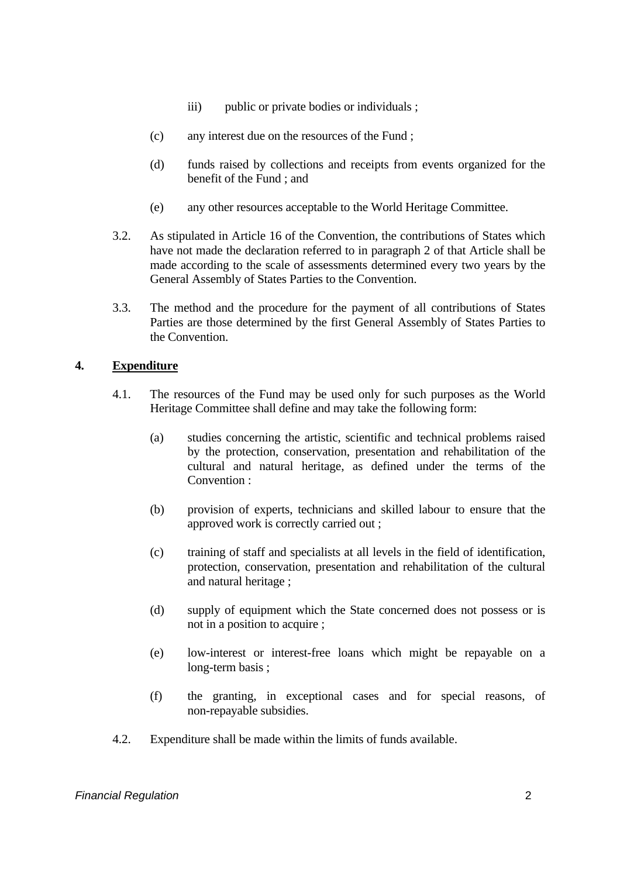- iii) public or private bodies or individuals ;
- (c) any interest due on the resources of the Fund ;
- (d) funds raised by collections and receipts from events organized for the benefit of the Fund ; and
- (e) any other resources acceptable to the World Heritage Committee.
- 3.2. As stipulated in Article 16 of the Convention, the contributions of States which have not made the declaration referred to in paragraph 2 of that Article shall be made according to the scale of assessments determined every two years by the General Assembly of States Parties to the Convention.
- 3.3. The method and the procedure for the payment of all contributions of States Parties are those determined by the first General Assembly of States Parties to the Convention.

### **4. Expenditure**

- 4.1. The resources of the Fund may be used only for such purposes as the World Heritage Committee shall define and may take the following form:
	- (a) studies concerning the artistic, scientific and technical problems raised by the protection, conservation, presentation and rehabilitation of the cultural and natural heritage, as defined under the terms of the Convention :
	- (b) provision of experts, technicians and skilled labour to ensure that the approved work is correctly carried out ;
	- (c) training of staff and specialists at all levels in the field of identification, protection, conservation, presentation and rehabilitation of the cultural and natural heritage ;
	- (d) supply of equipment which the State concerned does not possess or is not in a position to acquire ;
	- (e) low-interest or interest-free loans which might be repayable on a long-term basis ;
	- (f) the granting, in exceptional cases and for special reasons, of non-repayable subsidies.
- 4.2. Expenditure shall be made within the limits of funds available.